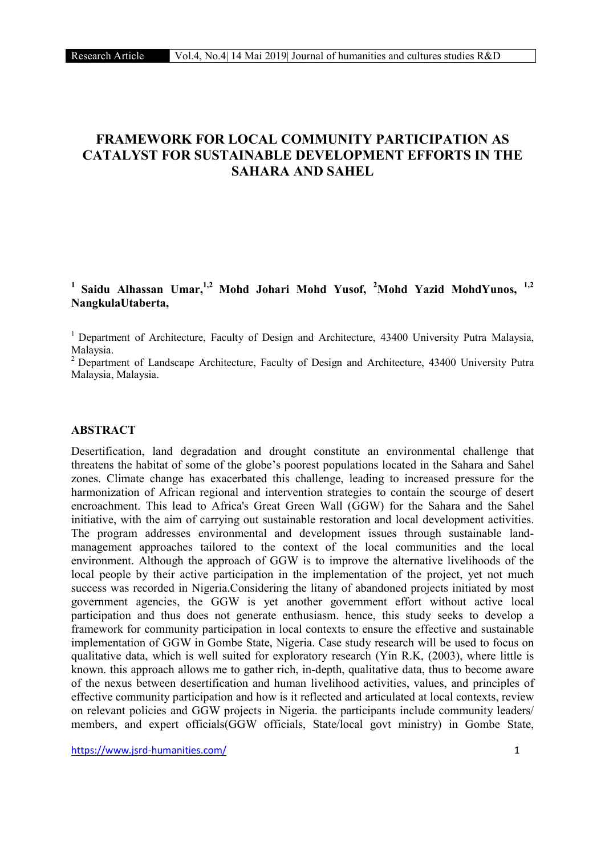# FRAMEWORK FOR LOCAL COMMUNITY PARTICIPATION AS CATALYST FOR SUSTAINABLE DEVELOPMENT EFFORTS IN THE SAHARA AND SAHEL

# <sup>1</sup> Saidu Alhassan Umar,<sup>1,2</sup> Mohd Johari Mohd Yusof, <sup>2</sup>Mohd Yazid MohdYunos, <sup>1,2</sup> NangkulaUtaberta,

<sup>1</sup> Department of Architecture, Faculty of Design and Architecture, 43400 University Putra Malaysia, Malaysia.

<sup>2</sup> Department of Landscape Architecture, Faculty of Design and Architecture, 43400 University Putra Malaysia, Malaysia.

## ABSTRACT

Desertification, land degradation and drought constitute an environmental challenge that threatens the habitat of some of the globe's poorest populations located in the Sahara and Sahel zones. Climate change has exacerbated this challenge, leading to increased pressure for the harmonization of African regional and intervention strategies to contain the scourge of desert encroachment. This lead to Africa's Great Green Wall (GGW) for the Sahara and the Sahel initiative, with the aim of carrying out sustainable restoration and local development activities. The program addresses environmental and development issues through sustainable landmanagement approaches tailored to the context of the local communities and the local environment. Although the approach of GGW is to improve the alternative livelihoods of the local people by their active participation in the implementation of the project, yet not much success was recorded in Nigeria.Considering the litany of abandoned projects initiated by most government agencies, the GGW is yet another government effort without active local participation and thus does not generate enthusiasm. hence, this study seeks to develop a framework for community participation in local contexts to ensure the effective and sustainable implementation of GGW in Gombe State, Nigeria. Case study research will be used to focus on qualitative data, which is well suited for exploratory research (Yin R.K, (2003), where little is known. this approach allows me to gather rich, in-depth, qualitative data, thus to become aware of the nexus between desertification and human livelihood activities, values, and principles of effective community participation and how is it reflected and articulated at local contexts, review on relevant policies and GGW projects in Nigeria. the participants include community leaders/ members, and expert officials(GGW officials, State/local govt ministry) in Gombe State,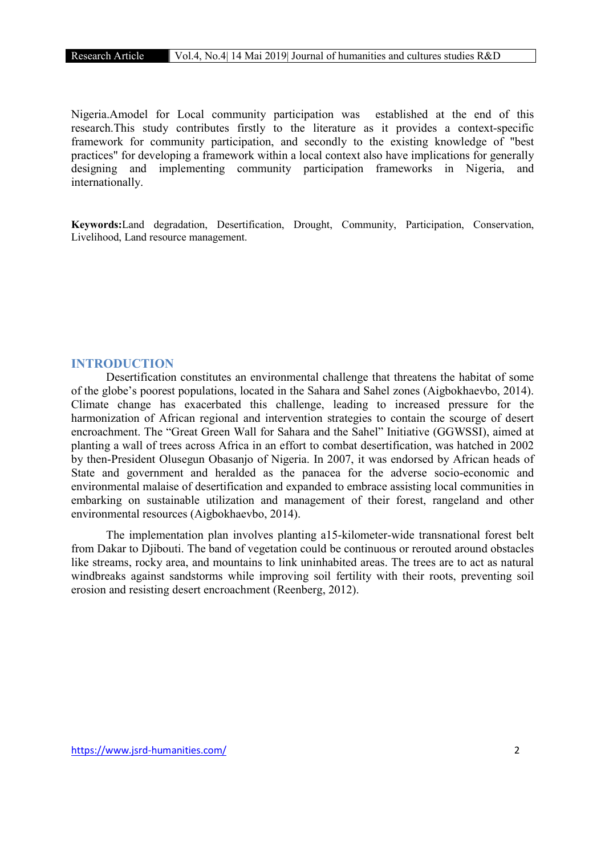Nigeria.Amodel for Local community participation was established at the end of this research.This study contributes firstly to the literature as it provides a context-specific framework for community participation, and secondly to the existing knowledge of "best practices" for developing a framework within a local context also have implications for generally designing and implementing community participation frameworks in Nigeria, and internationally.

Keywords:Land degradation, Desertification, Drought, Community, Participation, Conservation, Livelihood, Land resource management.

# **INTRODUCTION**

Desertification constitutes an environmental challenge that threatens the habitat of some of the globe's poorest populations, located in the Sahara and Sahel zones (Aigbokhaevbo, 2014). Climate change has exacerbated this challenge, leading to increased pressure for the harmonization of African regional and intervention strategies to contain the scourge of desert encroachment. The "Great Green Wall for Sahara and the Sahel" Initiative (GGWSSI), aimed at planting a wall of trees across Africa in an effort to combat desertification, was hatched in 2002 by then-President Olusegun Obasanjo of Nigeria. In 2007, it was endorsed by African heads of State and government and heralded as the panacea for the adverse socio-economic and environmental malaise of desertification and expanded to embrace assisting local communities in embarking on sustainable utilization and management of their forest, rangeland and other environmental resources (Aigbokhaevbo, 2014).

The implementation plan involves planting a15-kilometer-wide transnational forest belt from Dakar to Djibouti. The band of vegetation could be continuous or rerouted around obstacles like streams, rocky area, and mountains to link uninhabited areas. The trees are to act as natural windbreaks against sandstorms while improving soil fertility with their roots, preventing soil erosion and resisting desert encroachment (Reenberg, 2012).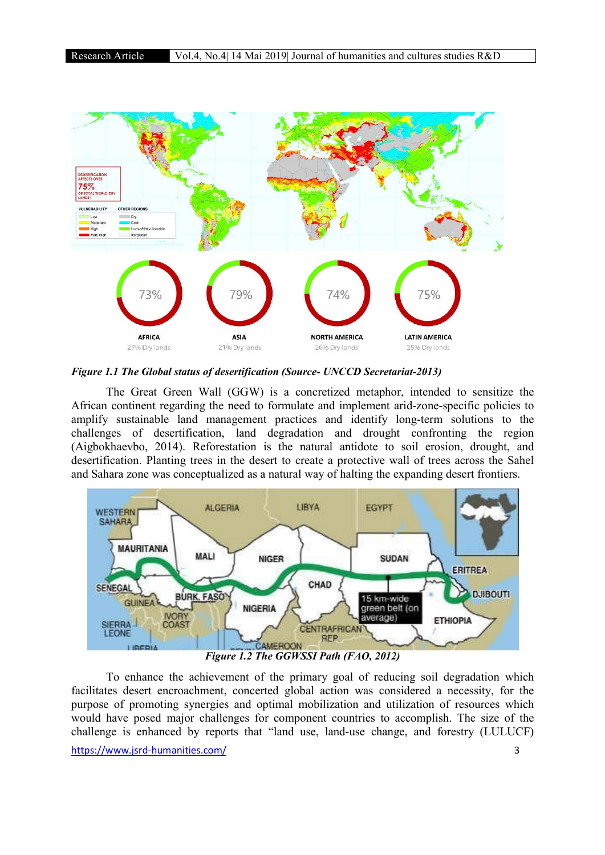

*Figure 1.1 The Global status of desertification (Source- UNCCD Secretariat-2013)*

The Great Green Wall (GGW) is a concretized metaphor, intended to sensitize the African continent regarding the need to formulate and implement arid-zone-specific policies to amplify sustainable land management practices and identify long-term solutions to the challenges of desertification, land degradation and drought confronting the region (Aigbokhaevbo, 2014). Reforestation is the natural antidote to soil erosion, drought, and desertification. Planting trees in the desert to create a protective wall of trees across the Sahel and Sahara zone was conceptualized as a natural way of halting the expanding desert frontiers.



To enhance the achievement of the primary goal of reducing soil degradation which facilitates desert encroachment, concerted global action was considered a necessity, for the purpose of promoting synergies and optimal mobilization and utilization of resources which would have posed major challenges for component countries to accomplish. The size of the challenge is enhanced by reports that "land use, land-use change, and forestry (LULUCF)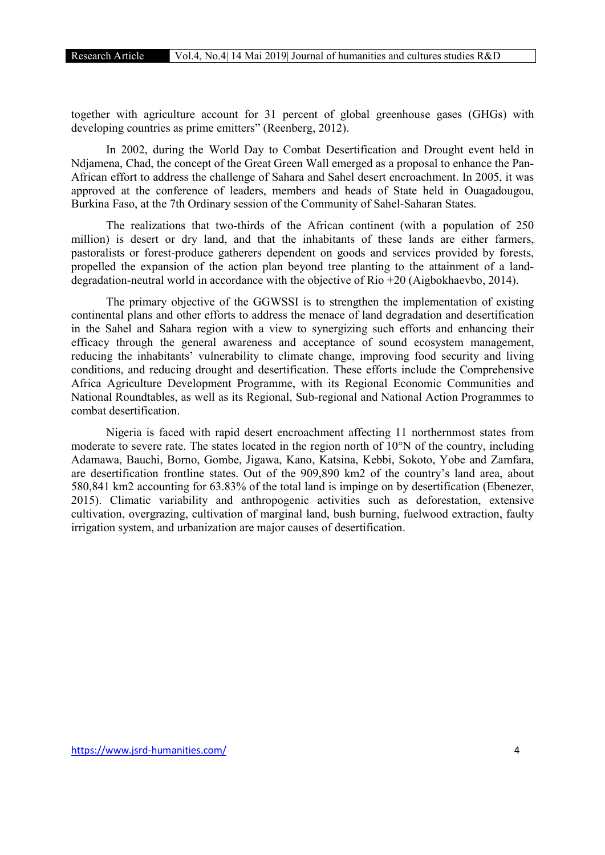together with agriculture account for 31 percent of global greenhouse gases (GHGs) with developing countries as prime emitters" (Reenberg, 2012).

In 2002, during the World Day to Combat Desertification and Drought event held in Ndjamena, Chad, the concept of the Great Green Wall emerged as a proposal to enhance the Pan-African effort to address the challenge of Sahara and Sahel desert encroachment. In 2005, it was approved at the conference of leaders, members and heads of State held in Ouagadougou, Burkina Faso, at the 7th Ordinary session of the Community of Sahel-Saharan States.

The realizations that two-thirds of the African continent (with a population of 250 million) is desert or dry land, and that the inhabitants of these lands are either farmers, pastoralists or forest-produce gatherers dependent on goods and services provided by forests, propelled the expansion of the action plan beyond tree planting to the attainment of a landdegradation-neutral world in accordance with the objective of Rio +20 (Aigbokhaevbo, 2014).

The primary objective of the GGWSSI is to strengthen the implementation of existing continental plans and other efforts to address the menace of land degradation and desertification in the Sahel and Sahara region with a view to synergizing such efforts and enhancing their efficacy through the general awareness and acceptance of sound ecosystem management, reducing the inhabitants' vulnerability to climate change, improving food security and living conditions, and reducing drought and desertification. These efforts include the Comprehensive Africa Agriculture Development Programme, with its Regional Economic Communities and National Roundtables, as well as its Regional, Sub-regional and National Action Programmes to combat desertification.

Nigeria is faced with rapid desert encroachment affecting 11 northernmost states from moderate to severe rate. The states located in the region north of 10°N of the country, including Adamawa, Bauchi, Borno, Gombe, Jigawa, Kano, Katsina, Kebbi, Sokoto, Yobe and Zamfara, are desertification frontline states. Out of the 909,890 km2 of the country's land area, about 580,841 km2 accounting for 63.83% of the total land is impinge on by desertification (Ebenezer, 2015). Climatic variability and anthropogenic activities such as deforestation, extensive cultivation, overgrazing, cultivation of marginal land, bush burning, fuelwood extraction, faulty irrigation system, and urbanization are major causes of desertification.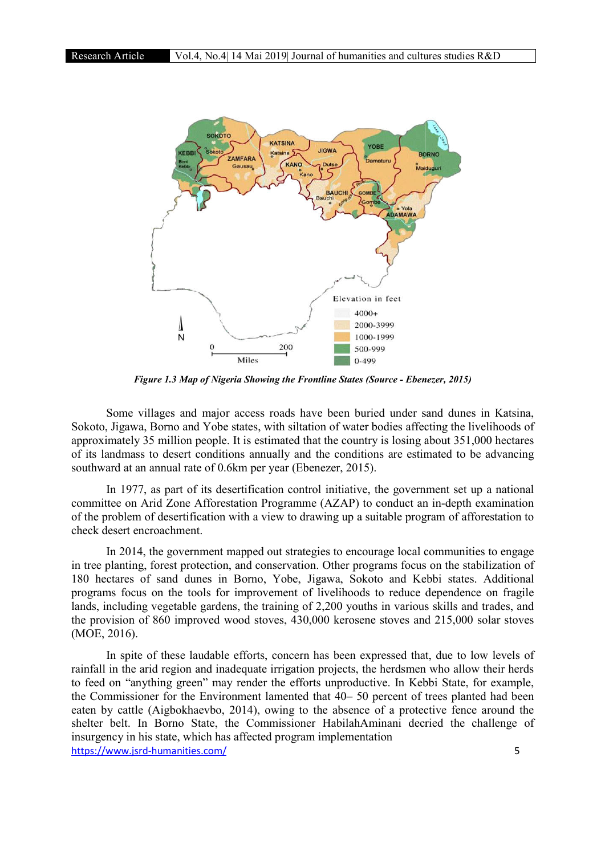

*Figure 1.3 Map of Nigeria Showing the Frontline States (Source - Ebenezer, 2015)*

Some villages and major access roads have been buried under sand dunes in Katsina, Sokoto, Jigawa, Borno and Yobe states, with siltation of water bodies affecting the livelihoods of approximately 35 million people. It is estimated that the country is losing about 351,000 hectares of its landmass to desert conditions annually and the conditions are estimated to be advancing southward at an annual rate of 0.6km per year (Ebenezer, 2015).

ard at an annual rate of 0.6km per year (Ebenezer, 2015).<br>In 1977, as part of its desertification control initiative, the government set up a national committee on Arid Zone Afforestation Programme (AZAP) to conduct an in-depth examination of the problem of desertification with a view to drawing up a suitable program of afforestation to check desert encroachment.

In 2014, the government mapped out strategies to encourage local communities to engage in tree planting, forest protection, and conservation. Other programs focus on the stabilization of 180 of the problem of desertification with a view to drawing up a suitable program of afforestation to<br>
180 hectares of sand dunes in Borno, Yobe, Jigawa, Sokoto and Kebbi states. Additional<br>
180 hectares of sand dunes in programs focus on the tools for improvement of livelihoods to reduce dependence on fragile lands, including vegetable gardens, the training of 2,200 youths in various skills and trades, and the provision of 860 improved wood stoves, 430,000 kerosene stoves and 215,000 solar stoves (MOE, 2016). ification with a view to drawing up a suitable program of afforestation to<br>ent.<br>ernment mapped out strategies to encourage local communities to engage<br>rotection, and conservation. Other programs focus on the stabilization

https://www.jsrd-humanities.com/ In spite of these laudable efforts, concern has been expressed that, due to low levels of rainfall in the arid region and inadequate irrigation projects, the herdsmen who allow their herds to feed on "anything green" may render the efforts unproductive. In Kebbi State, for example, the Commissioner for the Environment lamented that 40–50 percent of trees planted had been eaten by cattle (Aigbokhaevbo, 2014), owing to the absence of a protective fence around the eaten by cattle (Aigbokhaevbo, 2014), owing to the absence of a protective fence around the shelter belt. In Borno State, the Commissioner HabilahAminani decried the challenge of insurgency in his state, which has affected program implementation e jects, the herdsmen who allow their herds<br>aproductive. In Kebbi State, for example,<br>40– 50 percent of trees planted had been 5 of 2,200 youths in various skills and trades, and 30,000 kerosene stoves and  $215,000$  solar stoves  $\pi$ n has been expressed that, due to low levels of ion projects, the herdsmen who allow their herds forts unproductive.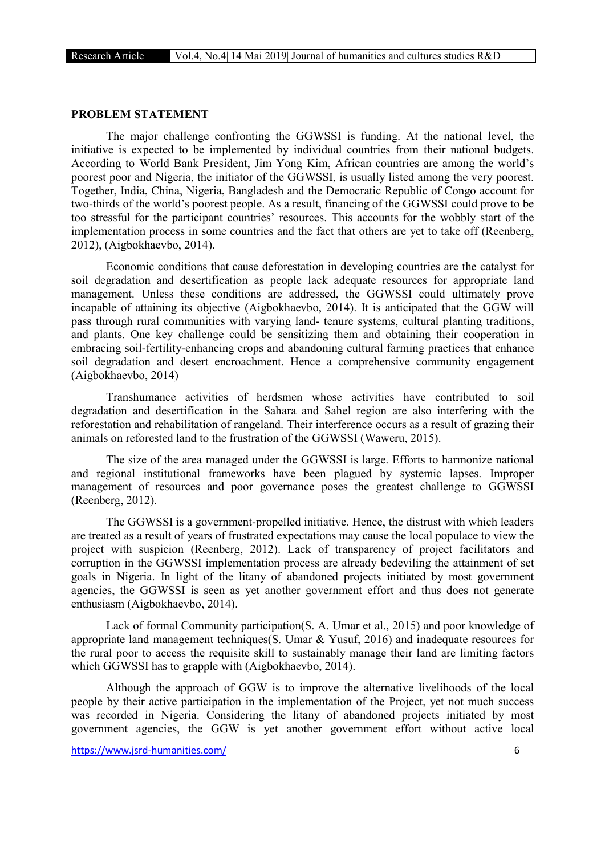#### PROBLEM STATEMENT

The major challenge confronting the GGWSSI is funding. At the national level, the initiative is expected to be implemented by individual countries from their national budgets. According to World Bank President, Jim Yong Kim, African countries are among the world's poorest poor and Nigeria, the initiator of the GGWSSI, is usually listed among the very poorest. Together, India, China, Nigeria, Bangladesh and the Democratic Republic of Congo account for two-thirds of the world's poorest people. As a result, financing of the GGWSSI could prove to be too stressful for the participant countries' resources. This accounts for the wobbly start of the implementation process in some countries and the fact that others are yet to take off (Reenberg, 2012), (Aigbokhaevbo, 2014).

Economic conditions that cause deforestation in developing countries are the catalyst for soil degradation and desertification as people lack adequate resources for appropriate land management. Unless these conditions are addressed, the GGWSSI could ultimately prove incapable of attaining its objective (Aigbokhaevbo, 2014). It is anticipated that the GGW will pass through rural communities with varying land- tenure systems, cultural planting traditions, and plants. One key challenge could be sensitizing them and obtaining their cooperation in embracing soil-fertility-enhancing crops and abandoning cultural farming practices that enhance soil degradation and desert encroachment. Hence a comprehensive community engagement (Aigbokhaevbo, 2014)

Transhumance activities of herdsmen whose activities have contributed to soil degradation and desertification in the Sahara and Sahel region are also interfering with the reforestation and rehabilitation of rangeland. Their interference occurs as a result of grazing their animals on reforested land to the frustration of the GGWSSI (Waweru, 2015).

The size of the area managed under the GGWSSI is large. Efforts to harmonize national and regional institutional frameworks have been plagued by systemic lapses. Improper management of resources and poor governance poses the greatest challenge to GGWSSI (Reenberg, 2012).

The GGWSSI is a government-propelled initiative. Hence, the distrust with which leaders are treated as a result of years of frustrated expectations may cause the local populace to view the project with suspicion (Reenberg, 2012). Lack of transparency of project facilitators and corruption in the GGWSSI implementation process are already bedeviling the attainment of set goals in Nigeria. In light of the litany of abandoned projects initiated by most government agencies, the GGWSSI is seen as yet another government effort and thus does not generate enthusiasm (Aigbokhaevbo, 2014).

Lack of formal Community participation(S. A. Umar et al., 2015) and poor knowledge of appropriate land management techniques(S. Umar & Yusuf, 2016) and inadequate resources for the rural poor to access the requisite skill to sustainably manage their land are limiting factors which GGWSSI has to grapple with (Aigbokhaevbo, 2014).

Although the approach of GGW is to improve the alternative livelihoods of the local people by their active participation in the implementation of the Project, yet not much success was recorded in Nigeria. Considering the litany of abandoned projects initiated by most government agencies, the GGW is yet another government effort without active local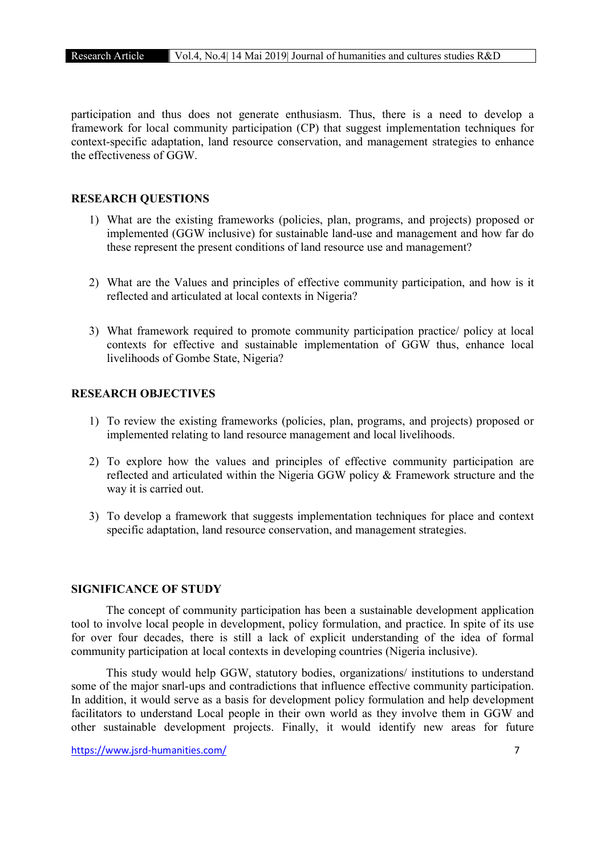participation and thus does not generate enthusiasm. Thus, there is a need to develop a framework for local community participation (CP) that suggest implementation techniques for context-specific adaptation, land resource conservation, and management strategies to enhance the effectiveness of GGW.

## RESEARCH QUESTIONS

- 1) What are the existing frameworks (policies, plan, programs, and projects) proposed or implemented (GGW inclusive) for sustainable land-use and management and how far do these represent the present conditions of land resource use and management?
- 2) What are the Values and principles of effective community participation, and how is it reflected and articulated at local contexts in Nigeria?
- 3) What framework required to promote community participation practice/ policy at local contexts for effective and sustainable implementation of GGW thus, enhance local livelihoods of Gombe State, Nigeria?

#### RESEARCH OBJECTIVES

- 1) To review the existing frameworks (policies, plan, programs, and projects) proposed or implemented relating to land resource management and local livelihoods.
- 2) To explore how the values and principles of effective community participation are reflected and articulated within the Nigeria GGW policy & Framework structure and the way it is carried out.
- 3) To develop a framework that suggests implementation techniques for place and context specific adaptation, land resource conservation, and management strategies.

#### SIGNIFICANCE OF STUDY

The concept of community participation has been a sustainable development application tool to involve local people in development, policy formulation, and practice. In spite of its use for over four decades, there is still a lack of explicit understanding of the idea of formal community participation at local contexts in developing countries (Nigeria inclusive).

This study would help GGW, statutory bodies, organizations/ institutions to understand some of the major snarl-ups and contradictions that influence effective community participation. In addition, it would serve as a basis for development policy formulation and help development facilitators to understand Local people in their own world as they involve them in GGW and other sustainable development projects. Finally, it would identify new areas for future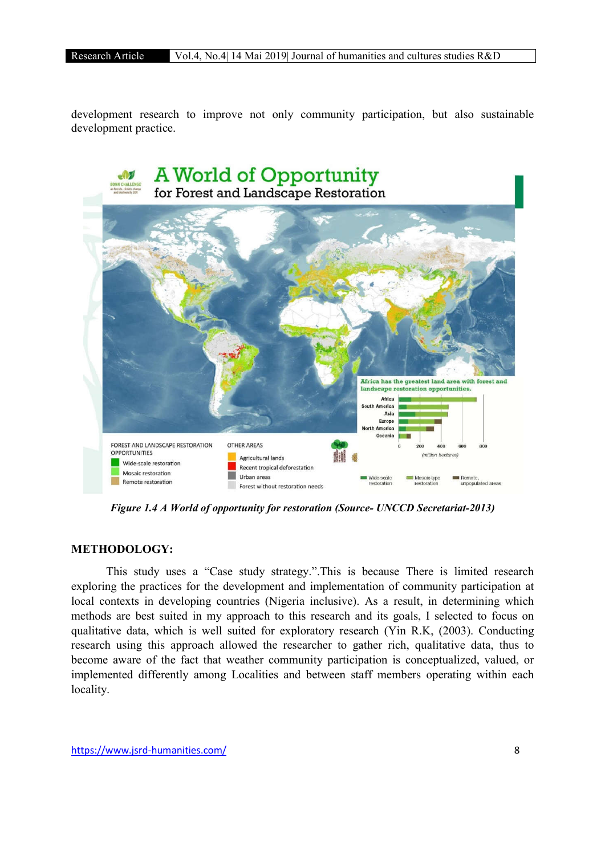development research to improve not only community participation, but also sustainable development practice.



*Figure 1.4 A World of opportunity for restoration (Source- UNCCD Secretariat-2013)*

# METHODOLOGY:

This study uses a "Case study strategy.".This is because There is limited research exploring the practices for the development and implementation of community participation at local contexts in developing countries (Nigeria inclusive). As a result, in determining which methods are best suited in my approach to this research and its goals, I selected to focus on qualitative data, which is well suited for exploratory research (Yin R.K, (2003). Conducting research using this approach allowed the researcher to gather rich, qualitative data, thus to become aware of the fact that weather community participation is conceptualized, valued, or implemented differently among Localities and between staff members operating within each locality.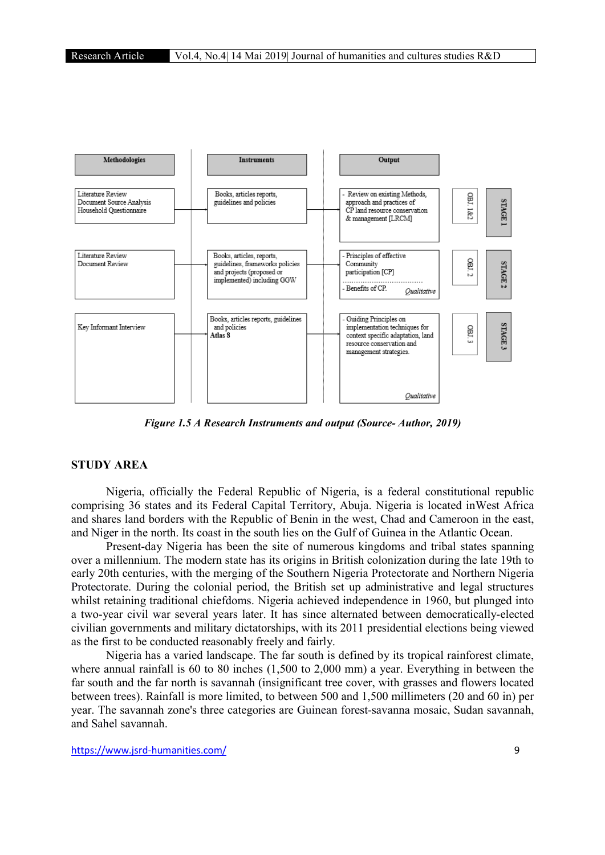

*Figure 1.5 A Research Instruments and output (Source- Author, 2019)*

# STUDY AREA

Nigeria, officially the Federal Republic of Nigeria, is a federal constitutional republic comprising 36 states and its Federal Capital Territory, Abuja. Nigeria is located inWest Africa and shares land borders with the Republic of Benin in the west, Chad and Cameroon in the east, and Niger in the north. Its coast in the south lies on the Gulf of Guinea in the Atlantic Ocean.

Present-day Nigeria has been the site of numerous kingdoms and tribal states spanning over a millennium. The modern state has its origins in British colonization during the late 19th to early 20th centuries, with the merging of the Southern Nigeria Protectorate and Northern Nigeria Protectorate. During the colonial period, the British set up administrative and legal structures whilst retaining traditional chiefdoms. Nigeria achieved independence in 1960, but plunged into a two-year civil war several years later. It has since alternated between democratically-elected civilian governments and military dictatorships, with its 2011 presidential elections being viewed as the first to be conducted reasonably freely and fairly.

Nigeria has a varied landscape. The far south is defined by its tropical rainforest climate, where annual rainfall is 60 to 80 inches (1,500 to 2,000 mm) a year. Everything in between the far south and the far north is savannah (insignificant tree cover, with grasses and flowers located between trees). Rainfall is more limited, to between 500 and 1,500 millimeters (20 and 60 in) per year. The savannah zone's three categories are Guinean forest-savanna mosaic, Sudan savannah, and Sahel savannah.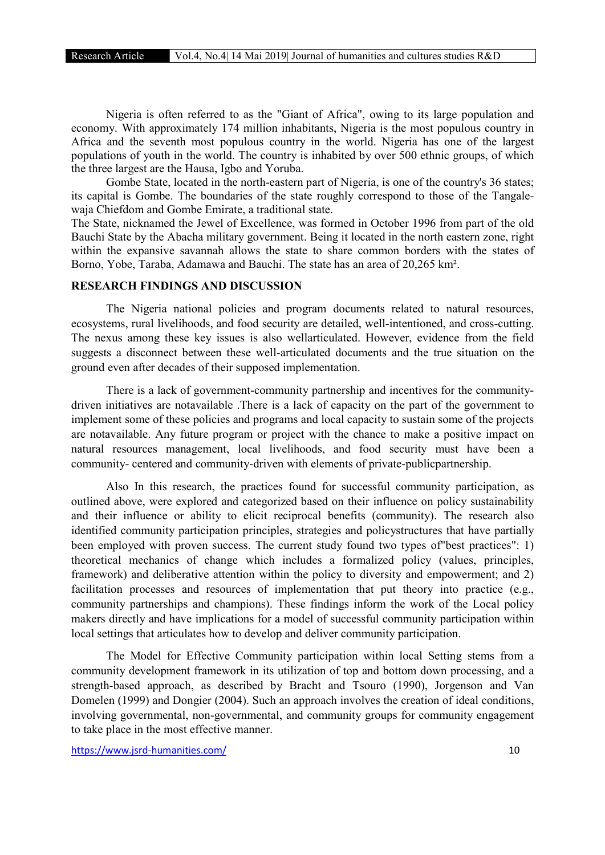Nigeria is often referred to as the "Giant of Africa", owing to its large population and economy. With approximately 174 million inhabitants, Nigeria is the most populous country in Africa and the seventh most populous country in the world. Nigeria has one of the largest populations of youth in the world. The country is inhabited by over 500 ethnic groups, of which the three largest are the Hausa, Igbo and Yoruba.

Gombe State, located in the north-eastern part of Nigeria, is one of the country's 36 states; its capital is Gombe. The boundaries of the state roughly correspond to those of the Tangalewaja Chiefdom and Gombe Emirate, a traditional state.

The State, nicknamed the Jewel of Excellence, was formed in October 1996 from part of the old Bauchi State by the Abacha military government. Being it located in the north eastern zone, right within the expansive savannah allows the state to share common borders with the states of Borno, Yobe, Taraba, Adamawa and Bauchi. The state has an area of 20,265 km².

# RESEARCH FINDINGS AND DISCUSSION

The Nigeria national policies and program documents related to natural resources, ecosystems, rural livelihoods, and food security are detailed, well-intentioned, and cross-cutting. The nexus among these key issues is also wellarticulated. However, evidence from the field suggests a disconnect between these well-articulated documents and the true situation on the ground even after decades of their supposed implementation.

There is a lack of government-community partnership and incentives for the communitydriven initiatives are notavailable .There is a lack of capacity on the part of the government to implement some of these policies and programs and local capacity to sustain some of the projects are notavailable. Any future program or project with the chance to make a positive impact on natural resources management, local livelihoods, and food security must have been a community- centered and community-driven with elements of private-publicpartnership.

Also In this research, the practices found for successful community participation, as outlined above, were explored and categorized based on their influence on policy sustainability and their influence or ability to elicit reciprocal benefits (community). The research also identified community participation principles, strategies and policystructures that have partially been employed with proven success. The current study found two types of"best practices": 1) theoretical mechanics of change which includes a formalized policy (values, principles, framework) and deliberative attention within the policy to diversity and empowerment; and 2) facilitation processes and resources of implementation that put theory into practice (e.g., community partnerships and champions). These findings inform the work of the Local policy makers directly and have implications for a model of successful community participation within local settings that articulates how to develop and deliver community participation.

The Model for Effective Community participation within local Setting stems from a community development framework in its utilization of top and bottom down processing, and a strength-based approach, as described by Bracht and Tsouro (1990), Jorgenson and Van Domelen (1999) and Dongier (2004). Such an approach involves the creation of ideal conditions, involving governmental, non-governmental, and community groups for community engagement to take place in the most effective manner.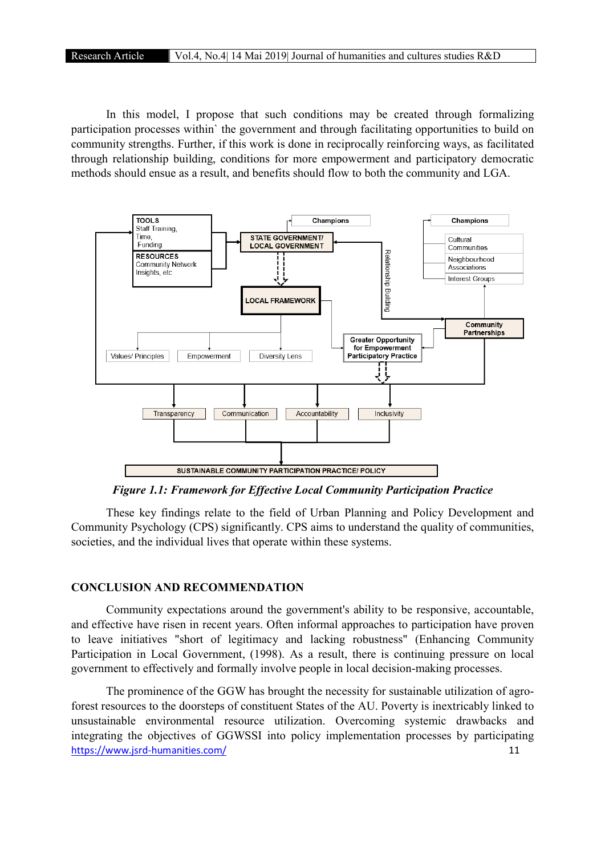In this model, I propose that such conditions may be created through formalizing participation processes within` the government and through facilitating opportunities to build on community strengths. Further, if this work is done in reciprocally reinforcing ways, as facilitated through relationship building, conditions for more empowerment and participatory democratic methods should ensue as a result, and benefits should flow to both the community and LGA.



*Figure 1.1: Framework for Effective Local Community Participation Practice*

These key findings relate to the field of Urban Planning and Policy Development and Community Psychology (CPS) significantly. CPS aims to understand the quality of communities, societies, and the individual lives that operate within these systems.

#### CONCLUSION AND RECOMMENDATION

Community expectations around the government's ability to be responsive, accountable, and effective have risen in recent years. Often informal approaches to participation have proven to leave initiatives "short of legitimacy and lacking robustness" (Enhancing Community Participation in Local Government, (1998). As a result, there is continuing pressure on local government to effectively and formally involve people in local decision-making processes.

https://www.jsrd-humanities.com/ 11 The prominence of the GGW has brought the necessity for sustainable utilization of agroforest resources to the doorsteps of constituent States of the AU. Poverty is inextricably linked to unsustainable environmental resource utilization. Overcoming systemic drawbacks and integrating the objectives of GGWSSI into policy implementation processes by participating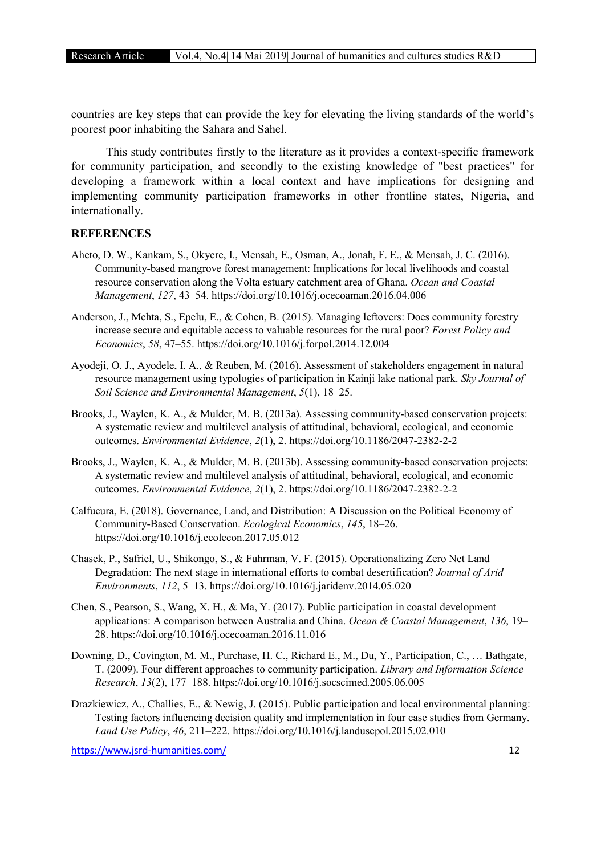countries are key steps that can provide the key for elevating the living standards of the world's poorest poor inhabiting the Sahara and Sahel.

This study contributes firstly to the literature as it provides a context-specific framework for community participation, and secondly to the existing knowledge of "best practices" for developing a framework within a local context and have implications for designing and implementing community participation frameworks in other frontline states, Nigeria, and internationally.

#### **REFERENCES**

- Aheto, D. W., Kankam, S., Okyere, I., Mensah, E., Osman, A., Jonah, F. E., & Mensah, J. C. (2016). Community-based mangrove forest management: Implications for local livelihoods and coastal resource conservation along the Volta estuary catchment area of Ghana. *Ocean and Coastal Management*, *127*, 43–54. https://doi.org/10.1016/j.ocecoaman.2016.04.006
- Anderson, J., Mehta, S., Epelu, E., & Cohen, B. (2015). Managing leftovers: Does community forestry increase secure and equitable access to valuable resources for the rural poor? *Forest Policy and Economics*, *58*, 47–55. https://doi.org/10.1016/j.forpol.2014.12.004
- Ayodeji, O. J., Ayodele, I. A., & Reuben, M. (2016). Assessment of stakeholders engagement in natural resource management using typologies of participation in Kainji lake national park. *Sky Journal of Soil Science and Environmental Management*, *5*(1), 18–25.
- Brooks, J., Waylen, K. A., & Mulder, M. B. (2013a). Assessing community-based conservation projects: A systematic review and multilevel analysis of attitudinal, behavioral, ecological, and economic outcomes. *Environmental Evidence*, *2*(1), 2. https://doi.org/10.1186/2047-2382-2-2
- Brooks, J., Waylen, K. A., & Mulder, M. B. (2013b). Assessing community-based conservation projects: A systematic review and multilevel analysis of attitudinal, behavioral, ecological, and economic outcomes. *Environmental Evidence*, *2*(1), 2. https://doi.org/10.1186/2047-2382-2-2
- Calfucura, E. (2018). Governance, Land, and Distribution: A Discussion on the Political Economy of Community-Based Conservation. *Ecological Economics*, *145*, 18–26. https://doi.org/10.1016/j.ecolecon.2017.05.012
- Chasek, P., Safriel, U., Shikongo, S., & Fuhrman, V. F. (2015). Operationalizing Zero Net Land Degradation: The next stage in international efforts to combat desertification? *Journal of Arid Environments*, *112*, 5–13. https://doi.org/10.1016/j.jaridenv.2014.05.020
- Chen, S., Pearson, S., Wang, X. H., & Ma, Y. (2017). Public participation in coastal development applications: A comparison between Australia and China. *Ocean & Coastal Management*, *136*, 19– 28. https://doi.org/10.1016/j.ocecoaman.2016.11.016
- Downing, D., Covington, M. M., Purchase, H. C., Richard E., M., Du, Y., Participation, C., … Bathgate, T. (2009). Four different approaches to community participation. *Library and Information Science Research*, *13*(2), 177–188. https://doi.org/10.1016/j.socscimed.2005.06.005
- Drazkiewicz, A., Challies, E., & Newig, J. (2015). Public participation and local environmental planning: Testing factors influencing decision quality and implementation in four case studies from Germany. *Land Use Policy*, *46*, 211–222. https://doi.org/10.1016/j.landusepol.2015.02.010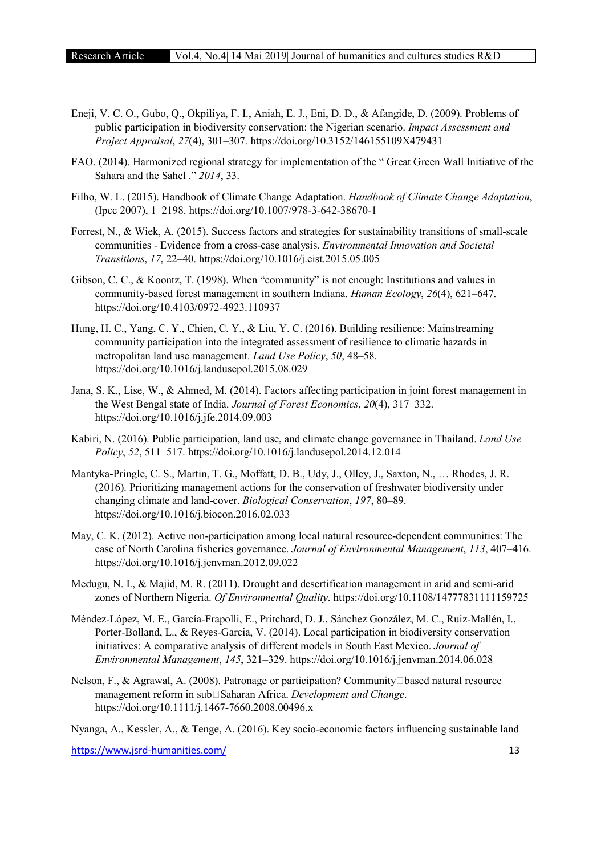- Eneji, V. C. O., Gubo, Q., Okpiliya, F. I., Aniah, E. J., Eni, D. D., & Afangide, D. (2009). Problems of public participation in biodiversity conservation: the Nigerian scenario. *Impact Assessment and Project Appraisal*, *27*(4), 301–307. https://doi.org/10.3152/146155109X479431
- FAO. (2014). Harmonized regional strategy for implementation of the " Great Green Wall Initiative of the Sahara and the Sahel ." *2014*, 33.
- Filho, W. L. (2015). Handbook of Climate Change Adaptation. *Handbook of Climate Change Adaptation*, (Ipcc 2007), 1–2198. https://doi.org/10.1007/978-3-642-38670-1
- Forrest, N., & Wiek, A. (2015). Success factors and strategies for sustainability transitions of small-scale communities - Evidence from a cross-case analysis. *Environmental Innovation and Societal Transitions*, *17*, 22–40. https://doi.org/10.1016/j.eist.2015.05.005
- Gibson, C. C., & Koontz, T. (1998). When "community" is not enough: Institutions and values in community-based forest management in southern Indiana. *Human Ecology*, *26*(4), 621–647. https://doi.org/10.4103/0972-4923.110937
- Hung, H. C., Yang, C. Y., Chien, C. Y., & Liu, Y. C. (2016). Building resilience: Mainstreaming community participation into the integrated assessment of resilience to climatic hazards in metropolitan land use management. *Land Use Policy*, *50*, 48–58. https://doi.org/10.1016/j.landusepol.2015.08.029
- Jana, S. K., Lise, W., & Ahmed, M. (2014). Factors affecting participation in joint forest management in the West Bengal state of India. *Journal of Forest Economics*, *20*(4), 317–332. https://doi.org/10.1016/j.jfe.2014.09.003
- Kabiri, N. (2016). Public participation, land use, and climate change governance in Thailand. *Land Use Policy*, *52*, 511–517. https://doi.org/10.1016/j.landusepol.2014.12.014
- Mantyka-Pringle, C. S., Martin, T. G., Moffatt, D. B., Udy, J., Olley, J., Saxton, N., … Rhodes, J. R. (2016). Prioritizing management actions for the conservation of freshwater biodiversity under changing climate and land-cover. *Biological Conservation*, *197*, 80–89. https://doi.org/10.1016/j.biocon.2016.02.033
- May, C. K. (2012). Active non-participation among local natural resource-dependent communities: The case of North Carolina fisheries governance. *Journal of Environmental Management*, *113*, 407–416. https://doi.org/10.1016/j.jenvman.2012.09.022
- Medugu, N. I., & Majid, M. R. (2011). Drought and desertification management in arid and semi-arid zones of Northern Nigeria. *Of Environmental Quality*. https://doi.org/10.1108/14777831111159725
- Méndez-López, M. E., García-Frapolli, E., Pritchard, D. J., Sánchez González, M. C., Ruiz-Mallén, I., Porter-Bolland, L., & Reyes-Garcia, V. (2014). Local participation in biodiversity conservation initiatives: A comparative analysis of different models in South East Mexico. *Journal of Environmental Management*, *145*, 321–329. https://doi.org/10.1016/j.jenvman.2014.06.028
- Nelson, F., & Agrawal, A. (2008). Patronage or participation? Community Dased natural resource management reform in sub□Saharan Africa. *Development and Change*. https://doi.org/10.1111/j.1467-7660.2008.00496.x

Nyanga, A., Kessler, A., & Tenge, A. (2016). Key socio-economic factors influencing sustainable land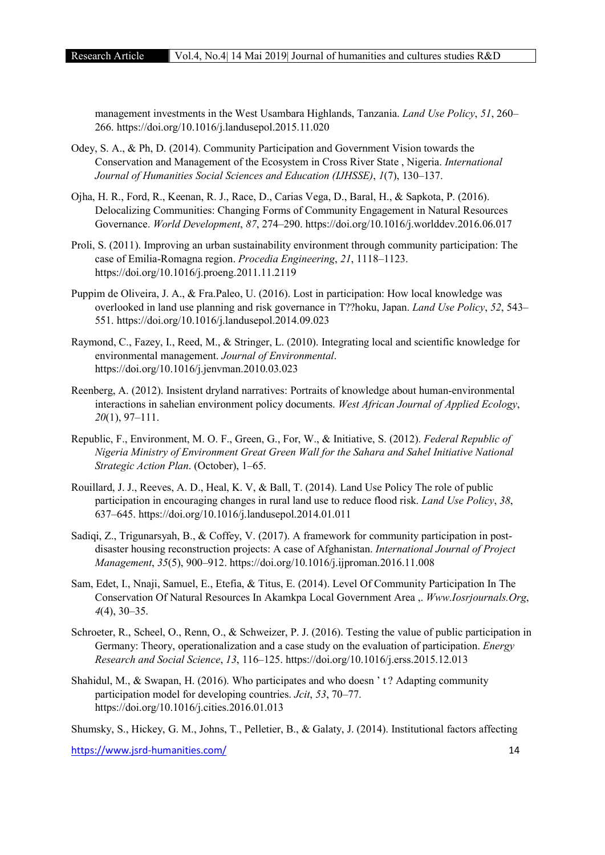management investments in the West Usambara Highlands, Tanzania. *Land Use Policy*, *51*, 260– 266. https://doi.org/10.1016/j.landusepol.2015.11.020

- Odey, S. A., & Ph, D. (2014). Community Participation and Government Vision towards the Conservation and Management of the Ecosystem in Cross River State , Nigeria. *International Journal of Humanities Social Sciences and Education (IJHSSE)*, *1*(7), 130–137.
- Ojha, H. R., Ford, R., Keenan, R. J., Race, D., Carias Vega, D., Baral, H., & Sapkota, P. (2016). Delocalizing Communities: Changing Forms of Community Engagement in Natural Resources Governance. *World Development*, *87*, 274–290. https://doi.org/10.1016/j.worlddev.2016.06.017
- Proli, S. (2011). Improving an urban sustainability environment through community participation: The case of Emilia-Romagna region. *Procedia Engineering*, *21*, 1118–1123. https://doi.org/10.1016/j.proeng.2011.11.2119
- Puppim de Oliveira, J. A., & Fra.Paleo, U. (2016). Lost in participation: How local knowledge was overlooked in land use planning and risk governance in T??hoku, Japan. *Land Use Policy*, *52*, 543– 551. https://doi.org/10.1016/j.landusepol.2014.09.023
- Raymond, C., Fazey, I., Reed, M., & Stringer, L. (2010). Integrating local and scientific knowledge for environmental management. *Journal of Environmental*. https://doi.org/10.1016/j.jenvman.2010.03.023
- Reenberg, A. (2012). Insistent dryland narratives: Portraits of knowledge about human-environmental interactions in sahelian environment policy documents. *West African Journal of Applied Ecology*, *20*(1), 97–111.
- Republic, F., Environment, M. O. F., Green, G., For, W., & Initiative, S. (2012). *Federal Republic of Nigeria Ministry of Environment Great Green Wall for the Sahara and Sahel Initiative National Strategic Action Plan*. (October), 1–65.
- Rouillard, J. J., Reeves, A. D., Heal, K. V, & Ball, T. (2014). Land Use Policy The role of public participation in encouraging changes in rural land use to reduce flood risk. *Land Use Policy*, *38*, 637–645. https://doi.org/10.1016/j.landusepol.2014.01.011
- Sadiqi, Z., Trigunarsyah, B., & Coffey, V. (2017). A framework for community participation in postdisaster housing reconstruction projects: A case of Afghanistan. *International Journal of Project Management*, *35*(5), 900–912. https://doi.org/10.1016/j.ijproman.2016.11.008
- Sam, Edet, I., Nnaji, Samuel, E., Etefia, & Titus, E. (2014). Level Of Community Participation In The Conservation Of Natural Resources In Akamkpa Local Government Area ,. *Www.Iosrjournals.Org*, *4*(4), 30–35.
- Schroeter, R., Scheel, O., Renn, O., & Schweizer, P. J. (2016). Testing the value of public participation in Germany: Theory, operationalization and a case study on the evaluation of participation. *Energy Research and Social Science*, *13*, 116–125. https://doi.org/10.1016/j.erss.2015.12.013
- Shahidul, M., & Swapan, H. (2016). Who participates and who doesn ' t ? Adapting community participation model for developing countries. *Jcit*, *53*, 70–77. https://doi.org/10.1016/j.cities.2016.01.013

Shumsky, S., Hickey, G. M., Johns, T., Pelletier, B., & Galaty, J. (2014). Institutional factors affecting